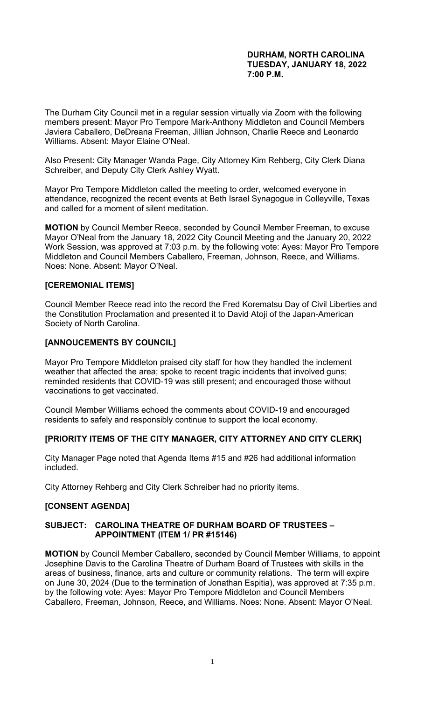#### **DURHAM, NORTH CAROLINA TUESDAY, JANUARY 18, 2022 7:00 P.M.**

The Durham City Council met in a regular session virtually via Zoom with the following members present: Mayor Pro Tempore Mark-Anthony Middleton and Council Members Javiera Caballero, DeDreana Freeman, Jillian Johnson, Charlie Reece and Leonardo Williams. Absent: Mayor Elaine O'Neal.

Also Present: City Manager Wanda Page, City Attorney Kim Rehberg, City Clerk Diana Schreiber, and Deputy City Clerk Ashley Wyatt.

Mayor Pro Tempore Middleton called the meeting to order, welcomed everyone in attendance, recognized the recent events at Beth Israel Synagogue in Colleyville, Texas and called for a moment of silent meditation.

**MOTION** by Council Member Reece, seconded by Council Member Freeman, to excuse Mayor O'Neal from the January 18, 2022 City Council Meeting and the January 20, 2022 Work Session, was approved at 7:03 p.m. by the following vote: Ayes: Mayor Pro Tempore Middleton and Council Members Caballero, Freeman, Johnson, Reece, and Williams. Noes: None. Absent: Mayor O'Neal.

# **[CEREMONIAL ITEMS]**

Council Member Reece read into the record the Fred Korematsu Day of Civil Liberties and the Constitution Proclamation and presented it to David Atoji of the Japan-American Society of North Carolina.

# **[ANNOUCEMENTS BY COUNCIL]**

Mayor Pro Tempore Middleton praised city staff for how they handled the inclement weather that affected the area; spoke to recent tragic incidents that involved guns; reminded residents that COVID-19 was still present; and encouraged those without vaccinations to get vaccinated.

Council Member Williams echoed the comments about COVID-19 and encouraged residents to safely and responsibly continue to support the local economy.

# **[PRIORITY ITEMS OF THE CITY MANAGER, CITY ATTORNEY AND CITY CLERK]**

City Manager Page noted that Agenda Items #15 and #26 had additional information included.

City Attorney Rehberg and City Clerk Schreiber had no priority items.

# **[CONSENT AGENDA]**

#### **SUBJECT: CAROLINA THEATRE OF DURHAM BOARD OF TRUSTEES – APPOINTMENT (ITEM 1/ PR #15146)**

**MOTION** by Council Member Caballero, seconded by Council Member Williams, to appoint Josephine Davis to the Carolina Theatre of Durham Board of Trustees with skills in the areas of business, finance, arts and culture or community relations. The term will expire on June 30, 2024 (Due to the termination of Jonathan Espitia), was approved at 7:35 p.m. by the following vote: Ayes: Mayor Pro Tempore Middleton and Council Members Caballero, Freeman, Johnson, Reece, and Williams. Noes: None. Absent: Mayor O'Neal.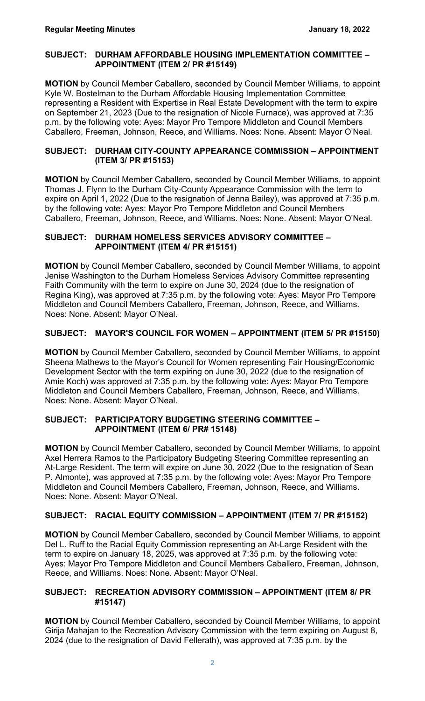#### **SUBJECT: DURHAM AFFORDABLE HOUSING IMPLEMENTATION COMMITTEE – APPOINTMENT (ITEM 2/ PR #15149)**

**MOTION** by Council Member Caballero, seconded by Council Member Williams, to appoint Kyle W. Bostelman to the Durham Affordable Housing Implementation Committee representing a Resident with Expertise in Real Estate Development with the term to expire on September 21, 2023 (Due to the resignation of Nicole Furnace), was approved at 7:35 p.m. by the following vote: Ayes: Mayor Pro Tempore Middleton and Council Members Caballero, Freeman, Johnson, Reece, and Williams. Noes: None. Absent: Mayor O'Neal.

#### **SUBJECT: DURHAM CITY-COUNTY APPEARANCE COMMISSION – APPOINTMENT (ITEM 3/ PR #15153)**

**MOTION** by Council Member Caballero, seconded by Council Member Williams, to appoint Thomas J. Flynn to the Durham City-County Appearance Commission with the term to expire on April 1, 2022 (Due to the resignation of Jenna Bailey), was approved at 7:35 p.m. by the following vote: Ayes: Mayor Pro Tempore Middleton and Council Members Caballero, Freeman, Johnson, Reece, and Williams. Noes: None. Absent: Mayor O'Neal.

#### **SUBJECT: DURHAM HOMELESS SERVICES ADVISORY COMMITTEE – APPOINTMENT (ITEM 4/ PR #15151)**

**MOTION** by Council Member Caballero, seconded by Council Member Williams, to appoint Jenise Washington to the Durham Homeless Services Advisory Committee representing Faith Community with the term to expire on June 30, 2024 (due to the resignation of Regina King), was approved at 7:35 p.m. by the following vote: Ayes: Mayor Pro Tempore Middleton and Council Members Caballero, Freeman, Johnson, Reece, and Williams. Noes: None. Absent: Mayor O'Neal.

# **SUBJECT: MAYOR'S COUNCIL FOR WOMEN – APPOINTMENT (ITEM 5/ PR #15150)**

**MOTION** by Council Member Caballero, seconded by Council Member Williams, to appoint Sheena Mathews to the Mayor's Council for Women representing Fair Housing/Economic Development Sector with the term expiring on June 30, 2022 (due to the resignation of Amie Koch) was approved at 7:35 p.m. by the following vote: Ayes: Mayor Pro Tempore Middleton and Council Members Caballero, Freeman, Johnson, Reece, and Williams. Noes: None. Absent: Mayor O'Neal.

# **SUBJECT: PARTICIPATORY BUDGETING STEERING COMMITTEE – APPOINTMENT (ITEM 6/ PR# 15148)**

**MOTION** by Council Member Caballero, seconded by Council Member Williams, to appoint Axel Herrera Ramos to the Participatory Budgeting Steering Committee representing an At-Large Resident. The term will expire on June 30, 2022 (Due to the resignation of Sean P. Almonte), was approved at 7:35 p.m. by the following vote: Ayes: Mayor Pro Tempore Middleton and Council Members Caballero, Freeman, Johnson, Reece, and Williams. Noes: None. Absent: Mayor O'Neal.

# **SUBJECT: RACIAL EQUITY COMMISSION – APPOINTMENT (ITEM 7/ PR #15152)**

**MOTION** by Council Member Caballero, seconded by Council Member Williams, to appoint Del L. Ruff to the Racial Equity Commission representing an At-Large Resident with the term to expire on January 18, 2025, was approved at 7:35 p.m. by the following vote: Ayes: Mayor Pro Tempore Middleton and Council Members Caballero, Freeman, Johnson, Reece, and Williams. Noes: None. Absent: Mayor O'Neal.

# **SUBJECT: RECREATION ADVISORY COMMISSION – APPOINTMENT (ITEM 8/ PR #15147)**

**MOTION** by Council Member Caballero, seconded by Council Member Williams, to appoint Girija Mahajan to the Recreation Advisory Commission with the term expiring on August 8, 2024 (due to the resignation of David Fellerath), was approved at 7:35 p.m. by the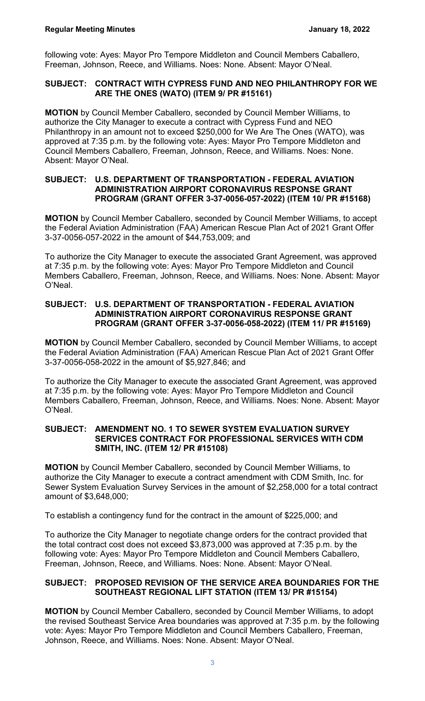following vote: Ayes: Mayor Pro Tempore Middleton and Council Members Caballero, Freeman, Johnson, Reece, and Williams. Noes: None. Absent: Mayor O'Neal.

# **SUBJECT: CONTRACT WITH CYPRESS FUND AND NEO PHILANTHROPY FOR WE ARE THE ONES (WATO) (ITEM 9/ PR #15161)**

**MOTION** by Council Member Caballero, seconded by Council Member Williams, to authorize the City Manager to execute a contract with Cypress Fund and NEO Philanthropy in an amount not to exceed \$250,000 for We Are The Ones (WATO), was approved at 7:35 p.m. by the following vote: Ayes: Mayor Pro Tempore Middleton and Council Members Caballero, Freeman, Johnson, Reece, and Williams. Noes: None. Absent: Mayor O'Neal.

#### **SUBJECT: U.S. DEPARTMENT OF TRANSPORTATION - FEDERAL AVIATION ADMINISTRATION AIRPORT CORONAVIRUS RESPONSE GRANT PROGRAM (GRANT OFFER 3-37-0056-057-2022) (ITEM 10/ PR #15168)**

**MOTION** by Council Member Caballero, seconded by Council Member Williams, to accept the Federal Aviation Administration (FAA) American Rescue Plan Act of 2021 Grant Offer 3-37-0056-057-2022 in the amount of \$44,753,009; and

To authorize the City Manager to execute the associated Grant Agreement, was approved at 7:35 p.m. by the following vote: Ayes: Mayor Pro Tempore Middleton and Council Members Caballero, Freeman, Johnson, Reece, and Williams. Noes: None. Absent: Mayor O'Neal.

#### **SUBJECT: U.S. DEPARTMENT OF TRANSPORTATION - FEDERAL AVIATION ADMINISTRATION AIRPORT CORONAVIRUS RESPONSE GRANT PROGRAM (GRANT OFFER 3-37-0056-058-2022) (ITEM 11/ PR #15169)**

**MOTION** by Council Member Caballero, seconded by Council Member Williams, to accept the Federal Aviation Administration (FAA) American Rescue Plan Act of 2021 Grant Offer 3-37-0056-058-2022 in the amount of \$5,927,846; and

To authorize the City Manager to execute the associated Grant Agreement, was approved at 7:35 p.m. by the following vote: Ayes: Mayor Pro Tempore Middleton and Council Members Caballero, Freeman, Johnson, Reece, and Williams. Noes: None. Absent: Mayor O'Neal.

#### **SUBJECT: AMENDMENT NO. 1 TO SEWER SYSTEM EVALUATION SURVEY SERVICES CONTRACT FOR PROFESSIONAL SERVICES WITH CDM SMITH, INC. (ITEM 12/ PR #15108)**

**MOTION** by Council Member Caballero, seconded by Council Member Williams, to authorize the City Manager to execute a contract amendment with CDM Smith, Inc. for Sewer System Evaluation Survey Services in the amount of \$2,258,000 for a total contract amount of \$3,648,000;

To establish a contingency fund for the contract in the amount of \$225,000; and

To authorize the City Manager to negotiate change orders for the contract provided that the total contract cost does not exceed \$3,873,000 was approved at 7:35 p.m. by the following vote: Ayes: Mayor Pro Tempore Middleton and Council Members Caballero, Freeman, Johnson, Reece, and Williams. Noes: None. Absent: Mayor O'Neal.

#### **SUBJECT: PROPOSED REVISION OF THE SERVICE AREA BOUNDARIES FOR THE SOUTHEAST REGIONAL LIFT STATION (ITEM 13/ PR #15154)**

**MOTION** by Council Member Caballero, seconded by Council Member Williams, to adopt the revised Southeast Service Area boundaries was approved at 7:35 p.m. by the following vote: Ayes: Mayor Pro Tempore Middleton and Council Members Caballero, Freeman, Johnson, Reece, and Williams. Noes: None. Absent: Mayor O'Neal.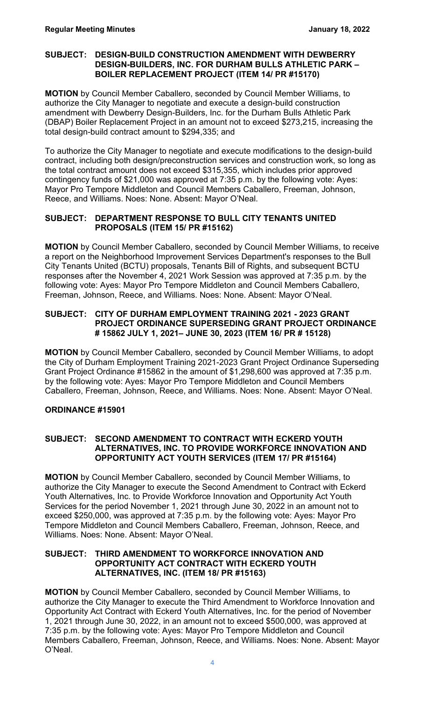#### **SUBJECT: DESIGN-BUILD CONSTRUCTION AMENDMENT WITH DEWBERRY DESIGN-BUILDERS, INC. FOR DURHAM BULLS ATHLETIC PARK – BOILER REPLACEMENT PROJECT (ITEM 14/ PR #15170)**

**MOTION** by Council Member Caballero, seconded by Council Member Williams, to authorize the City Manager to negotiate and execute a design-build construction amendment with Dewberry Design-Builders, Inc. for the Durham Bulls Athletic Park (DBAP) Boiler Replacement Project in an amount not to exceed \$273,215, increasing the total design-build contract amount to \$294,335; and

To authorize the City Manager to negotiate and execute modifications to the design-build contract, including both design/preconstruction services and construction work, so long as the total contract amount does not exceed \$315,355, which includes prior approved contingency funds of \$21,000 was approved at 7:35 p.m. by the following vote: Ayes: Mayor Pro Tempore Middleton and Council Members Caballero, Freeman, Johnson, Reece, and Williams. Noes: None. Absent: Mayor O'Neal.

#### **SUBJECT: DEPARTMENT RESPONSE TO BULL CITY TENANTS UNITED PROPOSALS (ITEM 15/ PR #15162)**

**MOTION** by Council Member Caballero, seconded by Council Member Williams, to receive a report on the Neighborhood Improvement Services Department's responses to the Bull City Tenants United (BCTU) proposals, Tenants Bill of Rights, and subsequent BCTU responses after the November 4, 2021 Work Session was approved at 7:35 p.m. by the following vote: Ayes: Mayor Pro Tempore Middleton and Council Members Caballero, Freeman, Johnson, Reece, and Williams. Noes: None. Absent: Mayor O'Neal.

#### **SUBJECT: CITY OF DURHAM EMPLOYMENT TRAINING 2021 - 2023 GRANT PROJECT ORDINANCE SUPERSEDING GRANT PROJECT ORDINANCE # 15862 JULY 1, 2021– JUNE 30, 2023 (ITEM 16/ PR # 15128)**

**MOTION** by Council Member Caballero, seconded by Council Member Williams, to adopt the City of Durham Employment Training 2021-2023 Grant Project Ordinance Superseding Grant Project Ordinance #15862 in the amount of \$1,298,600 was approved at 7:35 p.m. by the following vote: Ayes: Mayor Pro Tempore Middleton and Council Members Caballero, Freeman, Johnson, Reece, and Williams. Noes: None. Absent: Mayor O'Neal.

# **ORDINANCE #15901**

#### **SUBJECT: SECOND AMENDMENT TO CONTRACT WITH ECKERD YOUTH ALTERNATIVES, INC. TO PROVIDE WORKFORCE INNOVATION AND OPPORTUNITY ACT YOUTH SERVICES (ITEM 17/ PR #15164)**

**MOTION** by Council Member Caballero, seconded by Council Member Williams, to authorize the City Manager to execute the Second Amendment to Contract with Eckerd Youth Alternatives, Inc. to Provide Workforce Innovation and Opportunity Act Youth Services for the period November 1, 2021 through June 30, 2022 in an amount not to exceed \$250,000, was approved at 7:35 p.m. by the following vote: Ayes: Mayor Pro Tempore Middleton and Council Members Caballero, Freeman, Johnson, Reece, and Williams. Noes: None. Absent: Mayor O'Neal.

#### **SUBJECT: THIRD AMENDMENT TO WORKFORCE INNOVATION AND OPPORTUNITY ACT CONTRACT WITH ECKERD YOUTH ALTERNATIVES, INC. (ITEM 18/ PR #15163)**

**MOTION** by Council Member Caballero, seconded by Council Member Williams, to authorize the City Manager to execute the Third Amendment to Workforce Innovation and Opportunity Act Contract with Eckerd Youth Alternatives, Inc. for the period of November 1, 2021 through June 30, 2022, in an amount not to exceed \$500,000, was approved at 7:35 p.m. by the following vote: Ayes: Mayor Pro Tempore Middleton and Council Members Caballero, Freeman, Johnson, Reece, and Williams. Noes: None. Absent: Mayor O'Neal.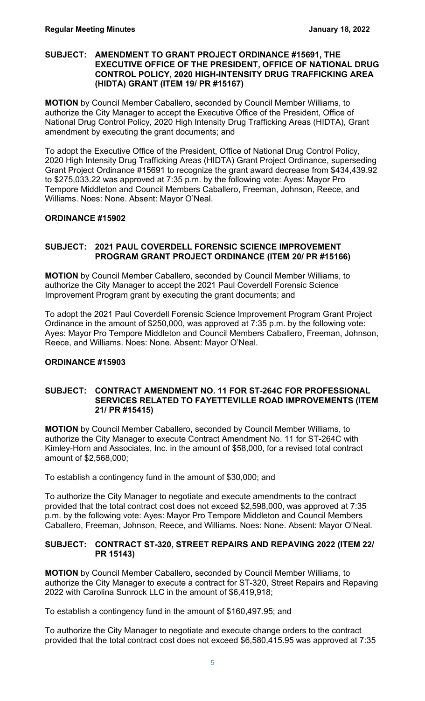#### **SUBJECT: AMENDMENT TO GRANT PROJECT ORDINANCE #15691, THE EXECUTIVE OFFICE OF THE PRESIDENT, OFFICE OF NATIONAL DRUG CONTROL POLICY, 2020 HIGH-INTENSITY DRUG TRAFFICKING AREA (HIDTA) GRANT (ITEM 19/ PR #15167)**

**MOTION** by Council Member Caballero, seconded by Council Member Williams, to authorize the City Manager to accept the Executive Office of the President, Office of National Drug Control Policy, 2020 High Intensity Drug Trafficking Areas (HIDTA), Grant amendment by executing the grant documents; and

To adopt the Executive Office of the President, Office of National Drug Control Policy, 2020 High Intensity Drug Trafficking Areas (HIDTA) Grant Project Ordinance, superseding Grant Project Ordinance #15691 to recognize the grant award decrease from \$434,439.92 to \$275,033.22 was approved at 7:35 p.m. by the following vote: Ayes: Mayor Pro Tempore Middleton and Council Members Caballero, Freeman, Johnson, Reece, and Williams. Noes: None. Absent: Mayor O'Neal.

# **ORDINANCE #15902**

# **SUBJECT: 2021 PAUL COVERDELL FORENSIC SCIENCE IMPROVEMENT PROGRAM GRANT PROJECT ORDINANCE (ITEM 20/ PR #15166)**

**MOTION** by Council Member Caballero, seconded by Council Member Williams, to authorize the City Manager to accept the 2021 Paul Coverdell Forensic Science Improvement Program grant by executing the grant documents; and

To adopt the 2021 Paul Coverdell Forensic Science Improvement Program Grant Project Ordinance in the amount of \$250,000, was approved at 7:35 p.m. by the following vote: Ayes: Mayor Pro Tempore Middleton and Council Members Caballero, Freeman, Johnson, Reece, and Williams. Noes: None. Absent: Mayor O'Neal.

# **ORDINANCE #15903**

#### **SUBJECT: CONTRACT AMENDMENT NO. 11 FOR ST-264C FOR PROFESSIONAL SERVICES RELATED TO FAYETTEVILLE ROAD IMPROVEMENTS (ITEM 21/ PR #15415)**

**MOTION** by Council Member Caballero, seconded by Council Member Williams, to authorize the City Manager to execute Contract Amendment No. 11 for ST-264C with Kimley-Horn and Associates, Inc. in the amount of \$58,000, for a revised total contract amount of \$2,568,000;

To establish a contingency fund in the amount of \$30,000; and

To authorize the City Manager to negotiate and execute amendments to the contract provided that the total contract cost does not exceed \$2,598,000, was approved at 7:35 p.m. by the following vote: Ayes: Mayor Pro Tempore Middleton and Council Members Caballero, Freeman, Johnson, Reece, and Williams. Noes: None. Absent: Mayor O'Neal.

#### **SUBJECT: CONTRACT ST-320, STREET REPAIRS AND REPAVING 2022 (ITEM 22/ PR 15143)**

**MOTION** by Council Member Caballero, seconded by Council Member Williams, to authorize the City Manager to execute a contract for ST-320, Street Repairs and Repaving 2022 with Carolina Sunrock LLC in the amount of \$6,419,918;

To establish a contingency fund in the amount of \$160,497.95; and

To authorize the City Manager to negotiate and execute change orders to the contract provided that the total contract cost does not exceed \$6,580,415.95 was approved at 7:35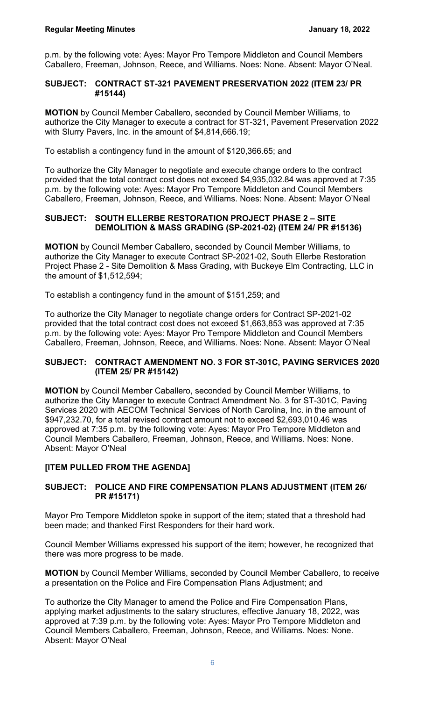p.m. by the following vote: Ayes: Mayor Pro Tempore Middleton and Council Members Caballero, Freeman, Johnson, Reece, and Williams. Noes: None. Absent: Mayor O'Neal.

#### **SUBJECT: CONTRACT ST-321 PAVEMENT PRESERVATION 2022 (ITEM 23/ PR #15144)**

**MOTION** by Council Member Caballero, seconded by Council Member Williams, to authorize the City Manager to execute a contract for ST-321, Pavement Preservation 2022 with Slurry Pavers, Inc. in the amount of \$4,814,666.19;

To establish a contingency fund in the amount of \$120,366.65; and

To authorize the City Manager to negotiate and execute change orders to the contract provided that the total contract cost does not exceed \$4,935,032.84 was approved at 7:35 p.m. by the following vote: Ayes: Mayor Pro Tempore Middleton and Council Members Caballero, Freeman, Johnson, Reece, and Williams. Noes: None. Absent: Mayor O'Neal

#### **SUBJECT: SOUTH ELLERBE RESTORATION PROJECT PHASE 2 – SITE DEMOLITION & MASS GRADING (SP-2021-02) (ITEM 24/ PR #15136)**

**MOTION** by Council Member Caballero, seconded by Council Member Williams, to authorize the City Manager to execute Contract SP-2021-02, South Ellerbe Restoration Project Phase 2 - Site Demolition & Mass Grading, with Buckeye Elm Contracting, LLC in the amount of \$1,512,594;

To establish a contingency fund in the amount of \$151,259; and

To authorize the City Manager to negotiate change orders for Contract SP-2021-02 provided that the total contract cost does not exceed \$1,663,853 was approved at 7:35 p.m. by the following vote: Ayes: Mayor Pro Tempore Middleton and Council Members Caballero, Freeman, Johnson, Reece, and Williams. Noes: None. Absent: Mayor O'Neal

#### **SUBJECT: CONTRACT AMENDMENT NO. 3 FOR ST-301C, PAVING SERVICES 2020 (ITEM 25/ PR #15142)**

**MOTION** by Council Member Caballero, seconded by Council Member Williams, to authorize the City Manager to execute Contract Amendment No. 3 for ST-301C, Paving Services 2020 with AECOM Technical Services of North Carolina, Inc. in the amount of \$947,232.70, for a total revised contract amount not to exceed \$2,693,010.46 was approved at 7:35 p.m. by the following vote: Ayes: Mayor Pro Tempore Middleton and Council Members Caballero, Freeman, Johnson, Reece, and Williams. Noes: None. Absent: Mayor O'Neal

# **[ITEM PULLED FROM THE AGENDA]**

# **SUBJECT: POLICE AND FIRE COMPENSATION PLANS ADJUSTMENT (ITEM 26/ PR #15171)**

Mayor Pro Tempore Middleton spoke in support of the item; stated that a threshold had been made; and thanked First Responders for their hard work.

Council Member Williams expressed his support of the item; however, he recognized that there was more progress to be made.

**MOTION** by Council Member Williams, seconded by Council Member Caballero, to receive a presentation on the Police and Fire Compensation Plans Adjustment; and

To authorize the City Manager to amend the Police and Fire Compensation Plans, applying market adjustments to the salary structures, effective January 18, 2022, was approved at 7:39 p.m. by the following vote: Ayes: Mayor Pro Tempore Middleton and Council Members Caballero, Freeman, Johnson, Reece, and Williams. Noes: None. Absent: Mayor O'Neal